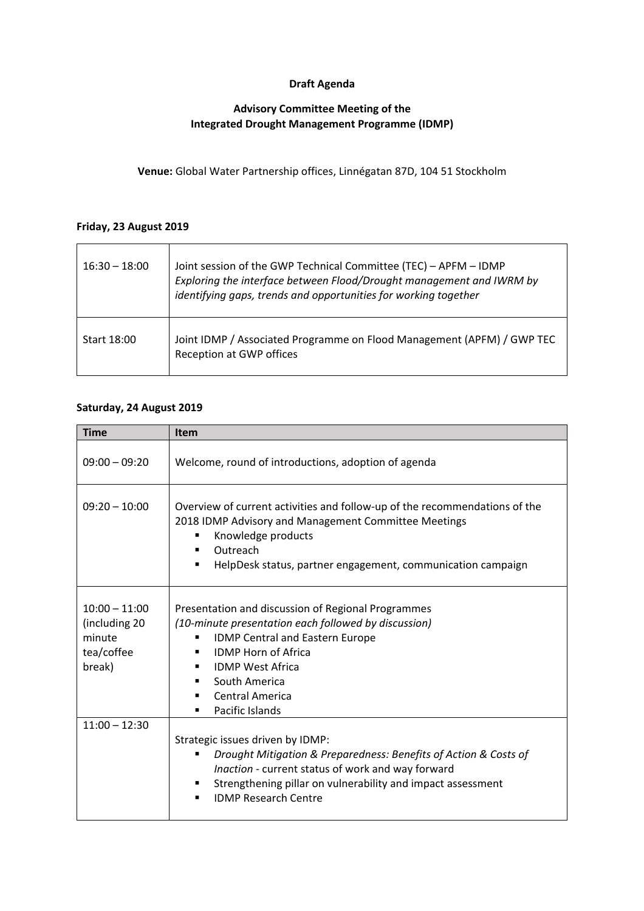## **Draft Agenda**

#### **Advisory Committee Meeting of the Integrated Drought Management Programme (IDMP)**

**Venue:** Global Water Partnership offices, Linnégatan 87D, 104 51 Stockholm

#### **Friday, 23 August 2019**

 $\overline{a}$ 

| $16:30 - 18:00$ | Joint session of the GWP Technical Committee (TEC) - APFM - IDMP<br>Exploring the interface between Flood/Drought management and IWRM by<br>identifying gaps, trends and opportunities for working together |
|-----------------|-------------------------------------------------------------------------------------------------------------------------------------------------------------------------------------------------------------|
| Start 18:00     | Joint IDMP / Associated Programme on Flood Management (APFM) / GWP TEC<br>Reception at GWP offices                                                                                                          |

#### **Saturday, 24 August 2019**

| <b>Time</b>                                                        | <b>Item</b>                                                                                                                                                                                                                                                                                     |
|--------------------------------------------------------------------|-------------------------------------------------------------------------------------------------------------------------------------------------------------------------------------------------------------------------------------------------------------------------------------------------|
| $09:00 - 09:20$                                                    | Welcome, round of introductions, adoption of agenda                                                                                                                                                                                                                                             |
| $09:20 - 10:00$                                                    | Overview of current activities and follow-up of the recommendations of the<br>2018 IDMP Advisory and Management Committee Meetings<br>Knowledge products<br>Outreach<br>٠<br>HelpDesk status, partner engagement, communication campaign<br>٠                                                   |
| $10:00 - 11:00$<br>(including 20<br>minute<br>tea/coffee<br>break) | Presentation and discussion of Regional Programmes<br>(10-minute presentation each followed by discussion)<br><b>IDMP Central and Eastern Europe</b><br>٠<br><b>IDMP Horn of Africa</b><br><b>IDMP West Africa</b><br>٠<br>South America<br>٠<br><b>Central America</b><br>٠<br>Pacific Islands |
| $11:00 - 12:30$                                                    | Strategic issues driven by IDMP:<br>Drought Mitigation & Preparedness: Benefits of Action & Costs of<br>п<br>Inaction - current status of work and way forward<br>Strengthening pillar on vulnerability and impact assessment<br>٠<br><b>IDMP Research Centre</b><br>٠                          |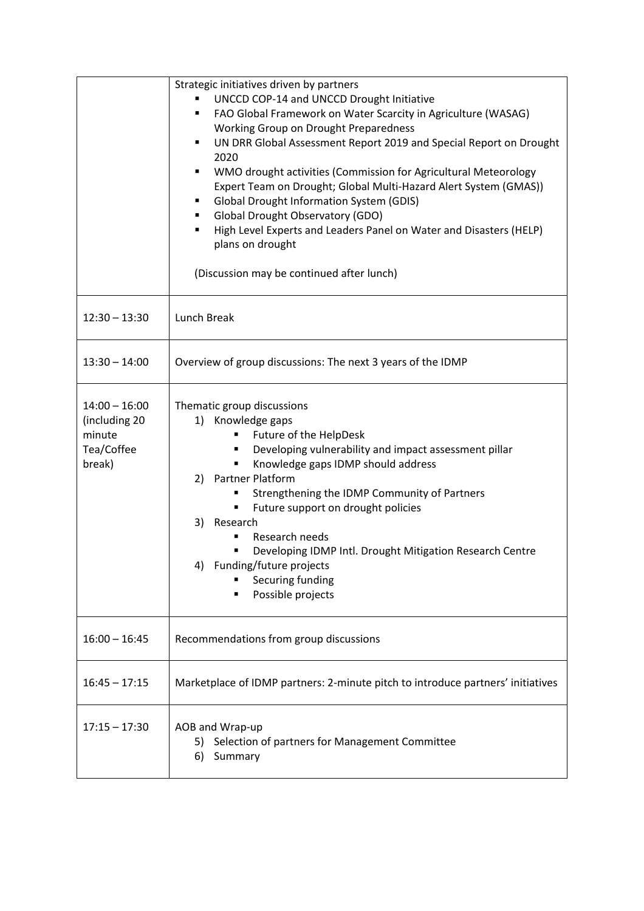|                                                                    | Strategic initiatives driven by partners<br>UNCCD COP-14 and UNCCD Drought Initiative<br>FAO Global Framework on Water Scarcity in Agriculture (WASAG)<br>٠<br>Working Group on Drought Preparedness<br>UN DRR Global Assessment Report 2019 and Special Report on Drought<br>٠<br>2020<br>WMO drought activities (Commission for Agricultural Meteorology<br>Expert Team on Drought; Global Multi-Hazard Alert System (GMAS))<br><b>Global Drought Information System (GDIS)</b><br><b>Global Drought Observatory (GDO)</b><br>High Level Experts and Leaders Panel on Water and Disasters (HELP)<br>٠<br>plans on drought<br>(Discussion may be continued after lunch) |
|--------------------------------------------------------------------|--------------------------------------------------------------------------------------------------------------------------------------------------------------------------------------------------------------------------------------------------------------------------------------------------------------------------------------------------------------------------------------------------------------------------------------------------------------------------------------------------------------------------------------------------------------------------------------------------------------------------------------------------------------------------|
| $12:30 - 13:30$                                                    | Lunch Break                                                                                                                                                                                                                                                                                                                                                                                                                                                                                                                                                                                                                                                              |
| $13:30 - 14:00$                                                    | Overview of group discussions: The next 3 years of the IDMP                                                                                                                                                                                                                                                                                                                                                                                                                                                                                                                                                                                                              |
| $14:00 - 16:00$<br>(including 20<br>minute<br>Tea/Coffee<br>break) | Thematic group discussions<br>1) Knowledge gaps<br>Future of the HelpDesk<br>Developing vulnerability and impact assessment pillar<br>٠<br>Knowledge gaps IDMP should address<br>2) Partner Platform<br>Strengthening the IDMP Community of Partners<br>٠<br>Future support on drought policies<br>п<br>3)<br>Research<br>Research needs<br>Developing IDMP Intl. Drought Mitigation Research Centre<br>п<br>4) Funding/future projects<br>Securing funding<br>Possible projects                                                                                                                                                                                         |
| $16:00 - 16:45$                                                    | Recommendations from group discussions                                                                                                                                                                                                                                                                                                                                                                                                                                                                                                                                                                                                                                   |
| $16:45 - 17:15$                                                    | Marketplace of IDMP partners: 2-minute pitch to introduce partners' initiatives                                                                                                                                                                                                                                                                                                                                                                                                                                                                                                                                                                                          |
| $17:15 - 17:30$                                                    | AOB and Wrap-up<br>5) Selection of partners for Management Committee<br>Summary<br>6)                                                                                                                                                                                                                                                                                                                                                                                                                                                                                                                                                                                    |